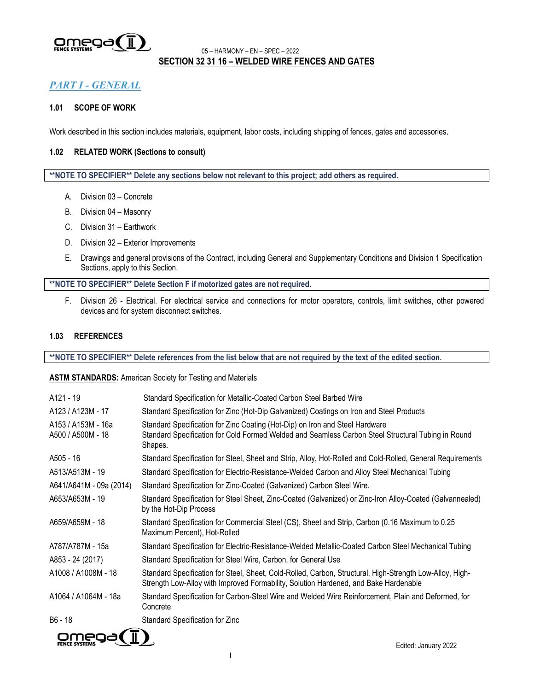

## <sup>05</sup> – HARMONY – EN – SPEC – <sup>2022</sup> **SECTION 32 31 16 – WELDED WIRE FENCES AND GATES**

## *PART I - GENERAL*

## **1.01 SCOPE OF WORK**

Work described in this section includes materials, equipment, labor costs, including shipping of fences, gates and accessories.

#### **1.02 RELATED WORK (Sections to consult)**

**\*\*NOTE TO SPECIFIER\*\* Delete any sections below not relevant to this project; add others as required.**

- A. Division 03 Concrete
- B. Division 04 Masonry
- C. Division 31 Earthwork
- D. Division 32 Exterior Improvements
- E. Drawings and general provisions of the Contract, including General and Supplementary Conditions and Division 1 Specification Sections, apply to this Section.

#### **\*\*NOTE TO SPECIFIER\*\* Delete Section F if motorized gates are not required.**

F. Division 26 - Electrical. For electrical service and connections for motor operators, controls, limit switches, other powered devices and for system disconnect switches.

## **1.03 REFERENCES**

**\*\*NOTE TO SPECIFIER\*\* Delete references from the list below that are not required by the text of the edited section.**

**ASTM STANDARDS:** American Society for Testing and Materials

| A121 - 19                               | Standard Specification for Metallic-Coated Carbon Steel Barbed Wire                                                                                                                              |
|-----------------------------------------|--------------------------------------------------------------------------------------------------------------------------------------------------------------------------------------------------|
| A123 / A123M - 17                       | Standard Specification for Zinc (Hot-Dip Galvanized) Coatings on Iron and Steel Products                                                                                                         |
| A153 / A153M - 16a<br>A500 / A500M - 18 | Standard Specification for Zinc Coating (Hot-Dip) on Iron and Steel Hardware<br>Standard Specification for Cold Formed Welded and Seamless Carbon Steel Structural Tubing in Round<br>Shapes.    |
| A505 - 16                               | Standard Specification for Steel, Sheet and Strip, Alloy, Hot-Rolled and Cold-Rolled, General Requirements                                                                                       |
| A513/A513M - 19                         | Standard Specification for Electric-Resistance-Welded Carbon and Alloy Steel Mechanical Tubing                                                                                                   |
| A641/A641M - 09a (2014)                 | Standard Specification for Zinc-Coated (Galvanized) Carbon Steel Wire.                                                                                                                           |
| A653/A653M - 19                         | Standard Specification for Steel Sheet, Zinc-Coated (Galvanized) or Zinc-Iron Alloy-Coated (Galvannealed)<br>by the Hot-Dip Process                                                              |
| A659/A659M - 18                         | Standard Specification for Commercial Steel (CS), Sheet and Strip, Carbon (0.16 Maximum to 0.25<br>Maximum Percent), Hot-Rolled                                                                  |
| A787/A787M - 15a                        | Standard Specification for Electric-Resistance-Welded Metallic-Coated Carbon Steel Mechanical Tubing                                                                                             |
| A853 - 24 (2017)                        | Standard Specification for Steel Wire, Carbon, for General Use                                                                                                                                   |
| A1008 / A1008M - 18                     | Standard Specification for Steel, Sheet, Cold-Rolled, Carbon, Structural, High-Strength Low-Alloy, High-<br>Strength Low-Alloy with Improved Formability, Solution Hardened, and Bake Hardenable |
| A1064 / A1064M - 18a                    | Standard Specification for Carbon-Steel Wire and Welded Wire Reinforcement, Plain and Deformed, for<br>Concrete                                                                                  |
| B6 - 18                                 | Standard Specification for Zinc                                                                                                                                                                  |
| ∕ π                                     |                                                                                                                                                                                                  |

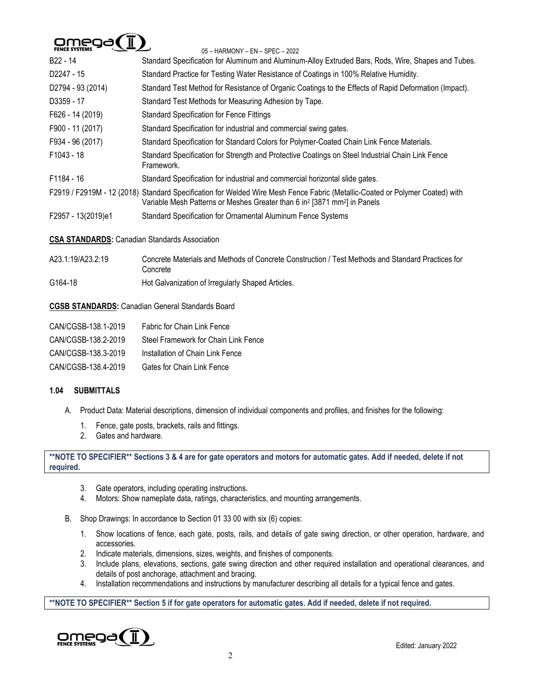# $Omega(T)$

| FENCE SYSTEMS                                        | 05 - HARMONY - EN - SPEC - 2022                                                                                                                                                                                                   |
|------------------------------------------------------|-----------------------------------------------------------------------------------------------------------------------------------------------------------------------------------------------------------------------------------|
| B22 - 14                                             | Standard Specification for Aluminum and Aluminum-Alloy Extruded Bars, Rods, Wire, Shapes and Tubes.                                                                                                                               |
| D2247 - 15                                           | Standard Practice for Testing Water Resistance of Coatings in 100% Relative Humidity.                                                                                                                                             |
| D2794 - 93 (2014)                                    | Standard Test Method for Resistance of Organic Coatings to the Effects of Rapid Deformation (Impact).                                                                                                                             |
| D3359 - 17                                           | Standard Test Methods for Measuring Adhesion by Tape.                                                                                                                                                                             |
| F626 - 14 (2019)                                     | <b>Standard Specification for Fence Fittings</b>                                                                                                                                                                                  |
| F900 - 11 (2017)                                     | Standard Specification for industrial and commercial swing gates.                                                                                                                                                                 |
| F934 - 96 (2017)                                     | Standard Specification for Standard Colors for Polymer-Coated Chain Link Fence Materials.                                                                                                                                         |
| F1043 - 18                                           | Standard Specification for Strength and Protective Coatings on Steel Industrial Chain Link Fence<br>Framework.                                                                                                                    |
| F1184 - 16                                           | Standard Specification for industrial and commercial horizontal slide gates.                                                                                                                                                      |
|                                                      | F2919 / F2919M - 12 (2018) Standard Specification for Welded Wire Mesh Fence Fabric (Metallic-Coated or Polymer Coated) with<br>Variable Mesh Patterns or Meshes Greater than 6 in <sup>2</sup> [3871 mm <sup>2</sup> ] in Panels |
| F2957 - 13(2019)e1                                   | Standard Specification for Ornamental Aluminum Fence Systems                                                                                                                                                                      |
| <b>CSA STANDARDS: Canadian Standards Association</b> |                                                                                                                                                                                                                                   |
| A23.1:19/A23.2:19                                    | Concrete Materials and Methods of Concrete Construction / Test Methods and Standard Practices for<br>Concrete                                                                                                                     |
| G164-18                                              | Hot Galvanization of Irregularly Shaped Articles.                                                                                                                                                                                 |
|                                                      | <b>CGSB STANDARDS: Canadian General Standards Board</b>                                                                                                                                                                           |
| CAN/CGSB-138.1-2019                                  | Fabric for Chain Link Fence                                                                                                                                                                                                       |
| CAN/CGSB-138.2-2019                                  | Steel Framework for Chain Link Fence                                                                                                                                                                                              |
| CAN/CGSB-138.3-2019                                  | Installation of Chain Link Fence                                                                                                                                                                                                  |

## **1.04 SUBMITTALS**

- A. Product Data: Material descriptions, dimension of individual components and profiles, and finishes for the following:
	- 1. Fence, gate posts, brackets, rails and fittings.

CAN/CGSB-138.4-2019 Gates for Chain Link Fence

2. Gates and hardware.

**\*\*NOTE TO SPECIFIER\*\* Sections 3 & 4 are for gate operators and motors for automatic gates. Add if needed, delete if not required.**

- 3. Gate operators, including operating instructions.
- 4. Motors: Show nameplate data, ratings, characteristics, and mounting arrangements.
- B. Shop Drawings: In accordance to Section 01 33 00 with six (6) copies:
	- 1. Show locations of fence, each gate, posts, rails, and details of gate swing direction, or other operation, hardware, and accessories.
	- 2. Indicate materials, dimensions, sizes, weights, and finishes of components.
	- 3. Include plans, elevations, sections, gate swing direction and other required installation and operational clearances, and details of post anchorage, attachment and bracing.
	- 4. Installation recommendations and instructions by manufacturer describing all details for a typical fence and gates.

**\*\*NOTE TO SPECIFIER\*\* Section 5 if for gate operators for automatic gates. Add if needed, delete if not required.**

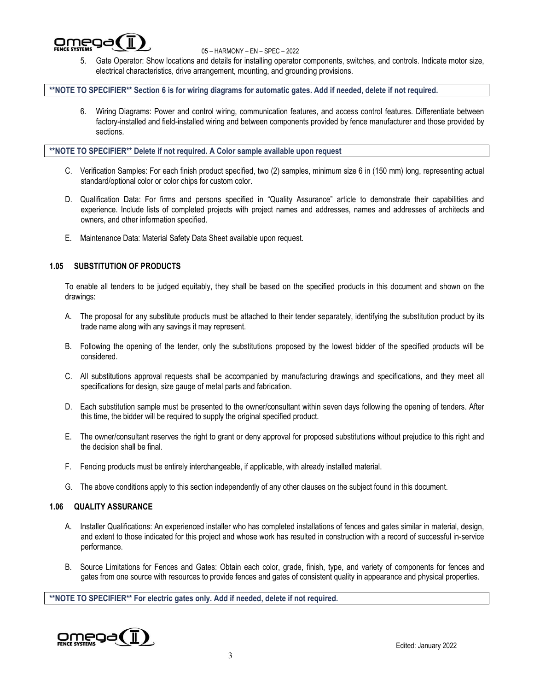

5. Gate Operator: Show locations and details for installing operator components, switches, and controls. Indicate motor size, electrical characteristics, drive arrangement, mounting, and grounding provisions.

## **\*\*NOTE TO SPECIFIER\*\* Section 6 is for wiring diagrams for automatic gates. Add if needed, delete if not required.**

6. Wiring Diagrams: Power and control wiring, communication features, and access control features. Differentiate between factory-installed and field-installed wiring and between components provided by fence manufacturer and those provided by sections.

**\*\*NOTE TO SPECIFIER\*\* Delete if not required. A Color sample available upon request**

- C. Verification Samples: For each finish product specified, two (2) samples, minimum size 6 in (150 mm) long, representing actual standard/optional color or color chips for custom color.
- D. Qualification Data: For firms and persons specified in "Quality Assurance" article to demonstrate their capabilities and experience. Include lists of completed projects with project names and addresses, names and addresses of architects and owners, and other information specified.
- E. Maintenance Data: Material Safety Data Sheet available upon request.

## **1.05 SUBSTITUTION OF PRODUCTS**

To enable all tenders to be judged equitably, they shall be based on the specified products in this document and shown on the drawings:

- A. The proposal for any substitute products must be attached to their tender separately, identifying the substitution product by its trade name along with any savings it may represent.
- B. Following the opening of the tender, only the substitutions proposed by the lowest bidder of the specified products will be considered.
- C. All substitutions approval requests shall be accompanied by manufacturing drawings and specifications, and they meet all specifications for design, size gauge of metal parts and fabrication.
- D. Each substitution sample must be presented to the owner/consultant within seven days following the opening of tenders. After this time, the bidder will be required to supply the original specified product.
- E. The owner/consultant reserves the right to grant or deny approval for proposed substitutions without prejudice to this right and the decision shall be final.
- F. Fencing products must be entirely interchangeable, if applicable, with already installed material.
- G. The above conditions apply to this section independently of any other clauses on the subject found in this document.

## **1.06 QUALITY ASSURANCE**

- A. Installer Qualifications: An experienced installer who has completed installations of fences and gates similar in material, design, and extent to those indicated for this project and whose work has resulted in construction with a record of successful in-service performance.
- B. Source Limitations for Fences and Gates: Obtain each color, grade, finish, type, and variety of components for fences and gates from one source with resources to provide fences and gates of consistent quality in appearance and physical properties.

**\*\*NOTE TO SPECIFIER\*\* For electric gates only. Add if needed, delete if not required.**

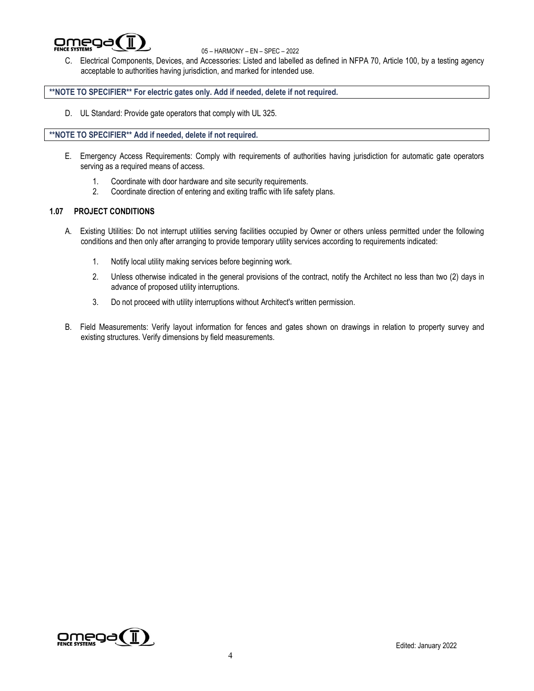

C. Electrical Components, Devices, and Accessories: Listed and labelled as defined in NFPA 70, Article 100, by a testing agency acceptable to authorities having jurisdiction, and marked for intended use.

## **\*\*NOTE TO SPECIFIER\*\* For electric gates only. Add if needed, delete if not required.**

D. UL Standard: Provide gate operators that comply with UL 325.

## **\*\*NOTE TO SPECIFIER\*\* Add if needed, delete if not required.**

- E. Emergency Access Requirements: Comply with requirements of authorities having jurisdiction for automatic gate operators serving as a required means of access.
	- 1. Coordinate with door hardware and site security requirements.
	- 2. Coordinate direction of entering and exiting traffic with life safety plans.

## **1.07 PROJECT CONDITIONS**

- A. Existing Utilities: Do not interrupt utilities serving facilities occupied by Owner or others unless permitted under the following conditions and then only after arranging to provide temporary utility services according to requirements indicated:
	- 1. Notify local utility making services before beginning work.
	- 2. Unless otherwise indicated in the general provisions of the contract, notify the Architect no less than two (2) days in advance of proposed utility interruptions.
	- 3. Do not proceed with utility interruptions without Architect's written permission.
- B. Field Measurements: Verify layout information for fences and gates shown on drawings in relation to property survey and existing structures. Verify dimensions by field measurements.

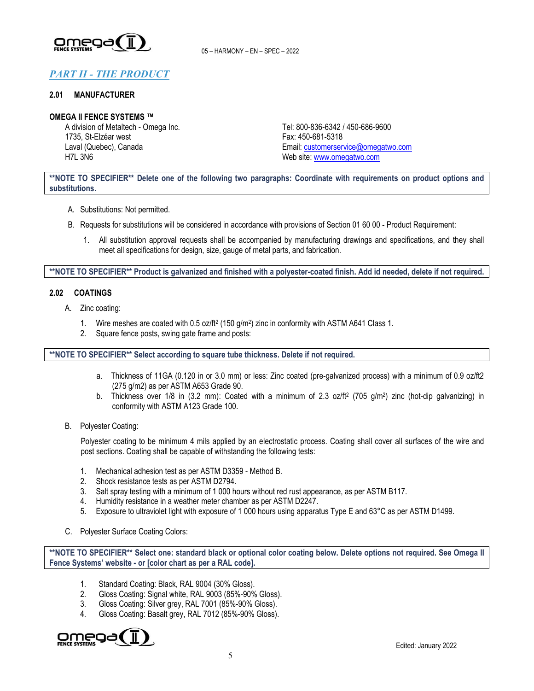

# *PART II - THE PRODUCT*

#### **2.01 MANUFACTURER**

#### **OMEGA II FENCE SYSTEMS ™**

A division of Metaltech - Omega Inc. 1735, St-Elzéar west Laval (Quebec), Canada H7L 3N6

Tel: 800-836-6342 / 450-686-9600 Fax: 450-681-5318 Email: [customerservice@omegatwo.com](mailto:customerservice@omegatwo.com) Web site: [www.omegatwo.com](http://www.omegatwo.com/)

**\*\*NOTE TO SPECIFIER\*\* Delete one of the following two paragraphs: Coordinate with requirements on product options and substitutions.**

- A. Substitutions: Not permitted.
- B. Requests for substitutions will be considered in accordance with provisions of Section 01 60 00 Product Requirement:
	- 1. All substitution approval requests shall be accompanied by manufacturing drawings and specifications, and they shall meet all specifications for design, size, gauge of metal parts, and fabrication.

**\*\*NOTE TO SPECIFIER\*\* Product is galvanized and finished with a polyester-coated finish. Add id needed, delete if not required.**

#### **2.02 COATINGS**

- A. Zinc coating:
	- 1. Wire meshes are coated with 0.5 oz/ft<sup>2</sup> (150 g/m<sup>2</sup>) zinc in conformity with ASTM A641 Class 1.
	- 2. Square fence posts, swing gate frame and posts:

**\*\*NOTE TO SPECIFIER\*\* Select according to square tube thickness. Delete if not required.**

- a. Thickness of 11GA (0.120 in or 3.0 mm) or less: Zinc coated (pre-galvanized process) with a minimum of 0.9 oz/ft2 (275 g/m2) as per ASTM A653 Grade 90.
- b. Thickness over 1/8 in (3.2 mm): Coated with a minimum of 2.3 oz/ft<sup>2</sup> (705 g/m<sup>2</sup>) zinc (hot-dip galvanizing) in conformity with ASTM A123 Grade 100.
- B. Polyester Coating:

Polyester coating to be minimum 4 mils applied by an electrostatic process. Coating shall cover all surfaces of the wire and post sections. Coating shall be capable of withstanding the following tests:

- 1. Mechanical adhesion test as per ASTM D3359 Method B.
- 2. Shock resistance tests as per ASTM D2794.
- 3. Salt spray testing with a minimum of 1 000 hours without red rust appearance, as per ASTM B117.
- 4. Humidity resistance in a weather meter chamber as per ASTM D2247.
- 5. Exposure to ultraviolet light with exposure of 1 000 hours using apparatus Type E and 63°C as per ASTM D1499.
- C. Polyester Surface Coating Colors:

**\*\*NOTE TO SPECIFIER\*\* Select one: standard black or optional color coating below. Delete options not required. See Omega II Fence Systems' website - or [color chart as per a RAL code].**

- 1. Standard Coating: Black, RAL 9004 (30% Gloss).
- 2. Gloss Coating: Signal white, RAL 9003 (85%-90% Gloss).
- 3. Gloss Coating: Silver grey, RAL 7001 (85%-90% Gloss).
- 4. Gloss Coating: Basalt grey, RAL 7012 (85%-90% Gloss).

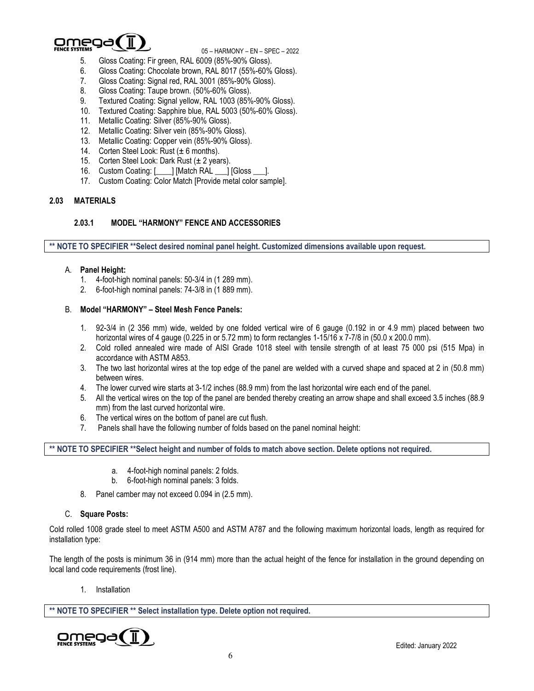

- 5. Gloss Coating: Fir green, RAL 6009 (85%-90% Gloss).
- 6. Gloss Coating: Chocolate brown, RAL 8017 (55%-60% Gloss).
- 7. Gloss Coating: Signal red, RAL 3001 (85%-90% Gloss).
- 8. Gloss Coating: Taupe brown. (50%-60% Gloss).
- 9. Textured Coating: Signal yellow, RAL 1003 (85%-90% Gloss).
- 10. Textured Coating: Sapphire blue, RAL 5003 (50%-60% Gloss).
- 11. Metallic Coating: Silver (85%-90% Gloss).
- 12. Metallic Coating: Silver vein (85%-90% Gloss).
- 13. Metallic Coating: Copper vein (85%-90% Gloss).
- 14. Corten Steel Look: Rust (± 6 months).
- 15. Corten Steel Look: Dark Rust  $(\pm 2 \text{ years})$ .
- 16. Custom Coating: [\_\_\_\_] [Match RAL \_\_\_] [Gloss \_\_\_].
- 17. Custom Coating: Color Match [Provide metal color sample].

## **2.03 MATERIALS**

#### **2.03.1 MODEL "HARMONY" FENCE AND ACCESSORIES**

**\*\* NOTE TO SPECIFIER \*\*Select desired nominal panel height. Customized dimensions available upon request.**

#### A. **Panel Height:**

- 1. 4-foot-high nominal panels: 50-3/4 in (1 289 mm).
- 2. 6-foot-high nominal panels: 74-3/8 in (1 889 mm).

#### B. **Model "HARMONY" – Steel Mesh Fence Panels:**

- 1. 92-3/4 in (2 356 mm) wide, welded by one folded vertical wire of 6 gauge (0.192 in or 4.9 mm) placed between two horizontal wires of 4 gauge (0.225 in or 5.72 mm) to form rectangles 1-15/16 x 7-7/8 in (50.0 x 200.0 mm).
- 2. Cold rolled annealed wire made of AISI Grade 1018 steel with tensile strength of at least 75 000 psi (515 Mpa) in accordance with ASTM A853.
- 3. The two last horizontal wires at the top edge of the panel are welded with a curved shape and spaced at 2 in (50.8 mm) between wires.
- 4. The lower curved wire starts at 3-1/2 inches (88.9 mm) from the last horizontal wire each end of the panel.
- 5. All the vertical wires on the top of the panel are bended thereby creating an arrow shape and shall exceed 3.5 inches (88.9 mm) from the last curved horizontal wire.
- 6. The vertical wires on the bottom of panel are cut flush.
- 7. Panels shall have the following number of folds based on the panel nominal height:

**\*\* NOTE TO SPECIFIER \*\*Select height and number of folds to match above section. Delete options not required.**

- a. 4-foot-high nominal panels: 2 folds.
- b. 6-foot-high nominal panels: 3 folds.
- 8. Panel camber may not exceed 0.094 in (2.5 mm).

#### C. **Square Posts:**

Cold rolled 1008 grade steel to meet ASTM A500 and ASTM A787 and the following maximum horizontal loads, length as required for installation type:

The length of the posts is minimum 36 in (914 mm) more than the actual height of the fence for installation in the ground depending on local land code requirements (frost line).

1. Installation

**\*\* NOTE TO SPECIFIER \*\* Select installation type. Delete option not required.**

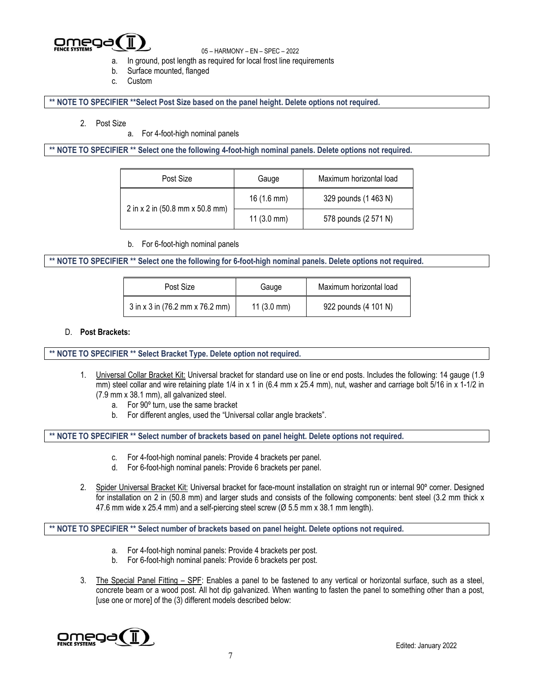

- a. In ground, post length as required for local frost line requirements
- b. Surface mounted, flanged
- c. Custom

**\*\* NOTE TO SPECIFIER \*\*Select Post Size based on the panel height. Delete options not required.**

- 2. Post Size
	- a. For 4-foot-high nominal panels

**\*\* NOTE TO SPECIFIER \*\* Select one the following 4-foot-high nominal panels. Delete options not required.**

| Post Size                       | Gauge                | Maximum horizontal load |
|---------------------------------|----------------------|-------------------------|
|                                 | $16(1.6 \text{ mm})$ | 329 pounds (1 463 N)    |
| 2 in x 2 in (50.8 mm x 50.8 mm) | $11(3.0 \text{ mm})$ | 578 pounds (2 571 N)    |

b. For 6-foot-high nominal panels

**\*\* NOTE TO SPECIFIER \*\* Select one the following for 6-foot-high nominal panels. Delete options not required.**

| Post Size                       | Gauge                | Maximum horizontal load |
|---------------------------------|----------------------|-------------------------|
| 3 in x 3 in (76.2 mm x 76.2 mm) | $11(3.0 \text{ mm})$ | 922 pounds (4 101 N)    |

#### D. **Post Brackets:**

**\*\* NOTE TO SPECIFIER \*\* Select Bracket Type. Delete option not required.**

- 1. Universal Collar Bracket Kit: Universal bracket for standard use on line or end posts. Includes the following: 14 gauge (1.9 mm) steel collar and wire retaining plate  $1/4$  in x 1 in (6.4 mm x 25.4 mm), nut, washer and carriage bolt 5/16 in x 1-1/2 in (7.9 mm x 38.1 mm), all galvanized steel.
	- a. For 90º turn, use the same bracket
	- b. For different angles, used the "Universal collar angle brackets".

**\*\* NOTE TO SPECIFIER \*\* Select number of brackets based on panel height. Delete options not required.**

- c. For 4-foot-high nominal panels: Provide 4 brackets per panel.
- d. For 6-foot-high nominal panels: Provide 6 brackets per panel.
- 2. Spider Universal Bracket Kit: Universal bracket for face-mount installation on straight run or internal 90º corner. Designed for installation on 2 in (50.8 mm) and larger studs and consists of the following components: bent steel (3.2 mm thick x 47.6 mm wide x 25.4 mm) and a self-piercing steel screw (Ø 5.5 mm x 38.1 mm length).

## **\*\* NOTE TO SPECIFIER \*\* Select number of brackets based on panel height. Delete options not required.**

- a. For 4-foot-high nominal panels: Provide 4 brackets per post.
- b. For 6-foot-high nominal panels: Provide 6 brackets per post.
- 3. The Special Panel Fitting SPF: Enables a panel to be fastened to any vertical or horizontal surface, such as a steel, concrete beam or a wood post. All hot dip galvanized. When wanting to fasten the panel to something other than a post, [use one or more] of the (3) different models described below:

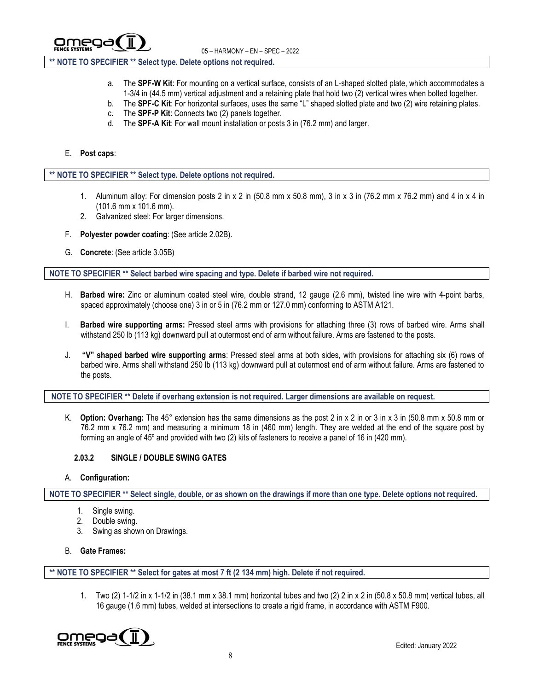

## **\*\* NOTE TO SPECIFIER \*\* Select type. Delete options not required.**

- a. The **SPF-W Kit**: For mounting on a vertical surface, consists of an L-shaped slotted plate, which accommodates a 1-3/4 in (44.5 mm) vertical adjustment and a retaining plate that hold two (2) vertical wires when bolted together.
- b. The **SPF-C Kit**: For horizontal surfaces, uses the same "L" shaped slotted plate and two (2) wire retaining plates.
- c. The **SPF-P Kit**: Connects two (2) panels together.
- d. The **SPF-A Kit**: For wall mount installation or posts 3 in (76.2 mm) and larger.

#### E. **Post caps**:

#### **\*\* NOTE TO SPECIFIER \*\* Select type. Delete options not required.**

- 1. Aluminum alloy: For dimension posts 2 in x 2 in  $(50.8 \text{ mm} \times 50.8 \text{ mm})$ , 3 in x 3 in  $(76.2 \text{ mm} \times 76.2 \text{ mm})$  and 4 in x 4 in (101.6 mm x 101.6 mm).
- 2. Galvanized steel: For larger dimensions.
- F. **Polyester powder coating**: (See article 2.02B).
- G. **Concrete**: (See article 3.05B)

**NOTE TO SPECIFIER \*\* Select barbed wire spacing and type. Delete if barbed wire not required.**

- H. **Barbed wire:** Zinc or aluminum coated steel wire, double strand, 12 gauge (2.6 mm), twisted line wire with 4-point barbs, spaced approximately (choose one) 3 in or 5 in (76.2 mm or 127.0 mm) conforming to ASTM A121.
- I. **Barbed wire supporting arms:** Pressed steel arms with provisions for attaching three (3) rows of barbed wire. Arms shall withstand 250 lb (113 kg) downward pull at outermost end of arm without failure. Arms are fastened to the posts.
- J. **"V" shaped barbed wire supporting arms**: Pressed steel arms at both sides, with provisions for attaching six (6) rows of barbed wire. Arms shall withstand 250 lb (113 kg) downward pull at outermost end of arm without failure. Arms are fastened to the posts.

**NOTE TO SPECIFIER \*\* Delete if overhang extension is not required. Larger dimensions are available on request.**

K. **Option: Overhang:** The 45° extension has the same dimensions as the post 2 in x 2 in or 3 in x 3 in (50.8 mm x 50.8 mm or 76.2 mm x 76.2 mm) and measuring a minimum 18 in (460 mm) length. They are welded at the end of the square post by forming an angle of 45º and provided with two (2) kits of fasteners to receive a panel of 16 in (420 mm).

## **2.03.2 SINGLE / DOUBLE SWING GATES**

A. **Configuration:**

**NOTE TO SPECIFIER \*\* Select single, double, or as shown on the drawings if more than one type. Delete options not required.**

- 1. Single swing.
- 2. Double swing.
- 3. Swing as shown on Drawings.
- B. **Gate Frames:**

**\*\* NOTE TO SPECIFIER \*\* Select for gates at most 7 ft (2 134 mm) high. Delete if not required.**

1. Two (2) 1-1/2 in x 1-1/2 in (38.1 mm x 38.1 mm) horizontal tubes and two (2) 2 in x 2 in (50.8 x 50.8 mm) vertical tubes, all 16 gauge (1.6 mm) tubes, welded at intersections to create a rigid frame, in accordance with ASTM F900.

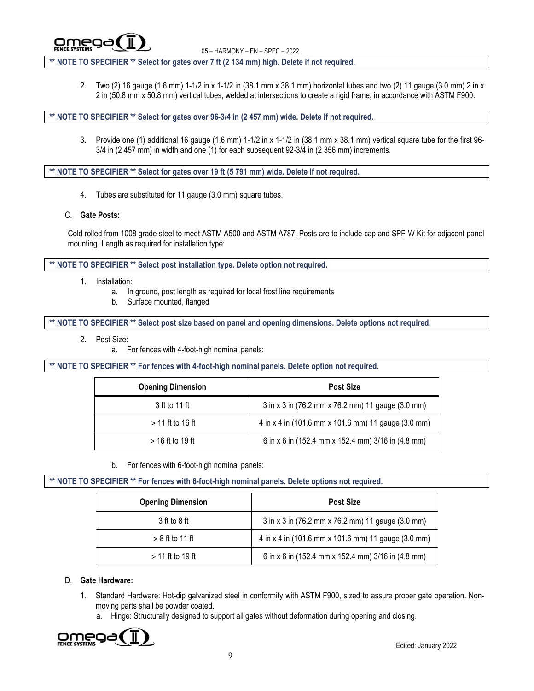omea

<sup>05</sup> – HARMONY – EN – SPEC – <sup>2022</sup>

**\*\* NOTE TO SPECIFIER \*\* Select for gates over 7 ft (2 134 mm) high. Delete if not required.**

2. Two (2) 16 gauge (1.6 mm) 1-1/2 in x 1-1/2 in (38.1 mm x 38.1 mm) horizontal tubes and two (2) 11 gauge (3.0 mm) 2 in x 2 in (50.8 mm x 50.8 mm) vertical tubes, welded at intersections to create a rigid frame, in accordance with ASTM F900.

**\*\* NOTE TO SPECIFIER \*\* Select for gates over 96-3/4 in (2 457 mm) wide. Delete if not required.**

3. Provide one (1) additional 16 gauge (1.6 mm) 1-1/2 in x 1-1/2 in (38.1 mm x 38.1 mm) vertical square tube for the first 96- 3/4 in (2 457 mm) in width and one (1) for each subsequent 92-3/4 in (2 356 mm) increments.

**\*\* NOTE TO SPECIFIER \*\* Select for gates over 19 ft (5 791 mm) wide. Delete if not required.**

- 4. Tubes are substituted for 11 gauge (3.0 mm) square tubes.
- C. **Gate Posts:**

Cold rolled from 1008 grade steel to meet ASTM A500 and ASTM A787. Posts are to include cap and SPF-W Kit for adjacent panel mounting. Length as required for installation type:

**\*\* NOTE TO SPECIFIER \*\* Select post installation type. Delete option not required.**

- 1. Installation:
	- a. In ground, post length as required for local frost line requirements
	- b. Surface mounted, flanged

**\*\* NOTE TO SPECIFIER \*\* Select post size based on panel and opening dimensions. Delete options not required.**

- 2. Post Size:
	- a. For fences with 4-foot-high nominal panels:

**\*\* NOTE TO SPECIFIER \*\* For fences with 4-foot-high nominal panels. Delete option not required.**

| <b>Opening Dimension</b> | <b>Post Size</b>                                    |
|--------------------------|-----------------------------------------------------|
| 3 ft to 11 ft            | 3 in x 3 in (76.2 mm x 76.2 mm) 11 gauge (3.0 mm)   |
| $>$ 11 ft to 16 ft       | 4 in x 4 in (101.6 mm x 101.6 mm) 11 gauge (3.0 mm) |
| $>$ 16 ft to 19 ft       | 6 in x 6 in (152.4 mm x 152.4 mm) 3/16 in (4.8 mm)  |

b. For fences with 6-foot-high nominal panels:

**\*\* NOTE TO SPECIFIER \*\* For fences with 6-foot-high nominal panels. Delete options not required.**

| <b>Opening Dimension</b> | <b>Post Size</b>                                    |
|--------------------------|-----------------------------------------------------|
| 3 ft to 8 ft             | 3 in x 3 in (76.2 mm x 76.2 mm) 11 gauge (3.0 mm)   |
| $> 8$ ft to 11 ft        | 4 in x 4 in (101.6 mm x 101.6 mm) 11 gauge (3.0 mm) |
| $>$ 11 ft to 19 ft       | 6 in x 6 in (152.4 mm x 152.4 mm) 3/16 in (4.8 mm)  |

## D. **Gate Hardware:**

- 1. Standard Hardware: Hot-dip galvanized steel in conformity with ASTM F900, sized to assure proper gate operation. Nonmoving parts shall be powder coated.
	- a. Hinge: Structurally designed to support all gates without deformation during opening and closing.

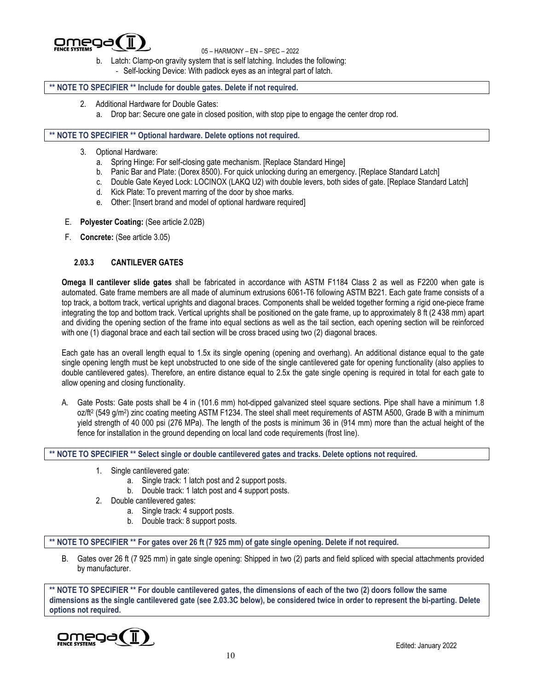

- b. Latch: Clamp-on gravity system that is self latching. Includes the following:
	- Self-locking Device: With padlock eyes as an integral part of latch.

## **\*\* NOTE TO SPECIFIER \*\* Include for double gates. Delete if not required.**

- 2. Additional Hardware for Double Gates:
	- a. Drop bar: Secure one gate in closed position, with stop pipe to engage the center drop rod.

## **\*\* NOTE TO SPECIFIER \*\* Optional hardware. Delete options not required.**

- 3. Optional Hardware:
	- a. Spring Hinge: For self-closing gate mechanism. [Replace Standard Hinge]
	- b. Panic Bar and Plate: (Dorex 8500). For quick unlocking during an emergency. [Replace Standard Latch]
	- c. Double Gate Keyed Lock: LOCINOX (LAKQ U2) with double levers, both sides of gate. [Replace Standard Latch]
	- d. Kick Plate: To prevent marring of the door by shoe marks.
	- e. Other: [Insert brand and model of optional hardware required]
- E. **Polyester Coating:** (See article 2.02B)
- F. **Concrete:** (See article 3.05)

## **2.03.3 CANTILEVER GATES**

**Omega II cantilever slide gates** shall be fabricated in accordance with ASTM F1184 Class 2 as well as F2200 when gate is automated. Gate frame members are all made of aluminum extrusions 6061-T6 following ASTM B221. Each gate frame consists of a top track, a bottom track, vertical uprights and diagonal braces. Components shall be welded together forming a rigid one-piece frame integrating the top and bottom track. Vertical uprights shall be positioned on the gate frame, up to approximately 8 ft (2 438 mm) apart and dividing the opening section of the frame into equal sections as well as the tail section, each opening section will be reinforced with one (1) diagonal brace and each tail section will be cross braced using two (2) diagonal braces.

Each gate has an overall length equal to 1.5x its single opening (opening and overhang). An additional distance equal to the gate single opening length must be kept unobstructed to one side of the single cantilevered gate for opening functionality (also applies to double cantilevered gates). Therefore, an entire distance equal to 2.5x the gate single opening is required in total for each gate to allow opening and closing functionality.

A. Gate Posts: Gate posts shall be 4 in (101.6 mm) hot-dipped galvanized steel square sections. Pipe shall have a minimum 1.8 oz/ft<sup>2</sup> (549 g/m<sup>2</sup>) zinc coating meeting ASTM F1234. The steel shall meet requirements of ASTM A500, Grade B with a minimum yield strength of 40 000 psi (276 MPa). The length of the posts is minimum 36 in (914 mm) more than the actual height of the fence for installation in the ground depending on local land code requirements (frost line).

**\*\* NOTE TO SPECIFIER \*\* Select single or double cantilevered gates and tracks. Delete options not required.**

- 1. Single cantilevered gate:
	- a. Single track: 1 latch post and 2 support posts.
	- b. Double track: 1 latch post and 4 support posts.
- 2. Double cantilevered gates:
	- a. Single track: 4 support posts.
	- b. Double track: 8 support posts.

**\*\* NOTE TO SPECIFIER \*\* For gates over 26 ft (7 925 mm) of gate single opening. Delete if not required.**

B. Gates over 26 ft (7 925 mm) in gate single opening: Shipped in two (2) parts and field spliced with special attachments provided by manufacturer.

**\*\* NOTE TO SPECIFIER \*\* For double cantilevered gates, the dimensions of each of the two (2) doors follow the same dimensions as the single cantilevered gate (see 2.03.3C below), be considered twice in order to represent the bi-parting. Delete options not required.**

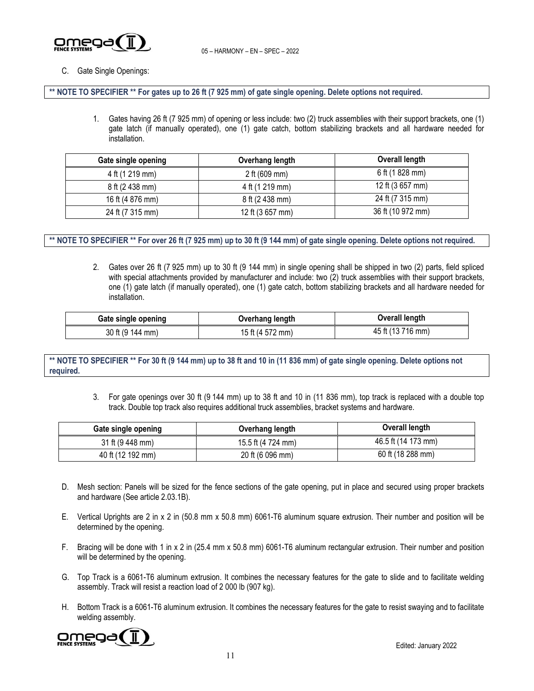

## C. Gate Single Openings:

**\*\* NOTE TO SPECIFIER \*\* For gates up to 26 ft (7 925 mm) of gate single opening. Delete options not required.**

1. Gates having 26 ft (7 925 mm) of opening or less include: two (2) truck assemblies with their support brackets, one (1) gate latch (if manually operated), one (1) gate catch, bottom stabilizing brackets and all hardware needed for installation.

| Gate single opening | Overhang length         | Overall length    |
|---------------------|-------------------------|-------------------|
| 4 ft (1 219 mm)     | 2 ft $(609 \text{ mm})$ | 6 ft (1 828 mm)   |
| 8 ft (2 438 mm)     | 4 ft (1 219 mm)         | 12 ft (3 657 mm)  |
| 16 ft (4 876 mm)    | 8 ft (2 438 mm)         | 24 ft (7 315 mm)  |
| 24 ft (7 315 mm)    | 12 ft (3 657 mm)        | 36 ft (10 972 mm) |

#### \*\* NOTE TO SPECIFIER \*\* For over 26 ft (7 925 mm) up to 30 ft (9 144 mm) of gate single opening. Delete options not required.

2. Gates over 26 ft (7 925 mm) up to 30 ft (9 144 mm) in single opening shall be shipped in two (2) parts, field spliced with special attachments provided by manufacturer and include: two (2) truck assemblies with their support brackets, one (1) gate latch (if manually operated), one (1) gate catch, bottom stabilizing brackets and all hardware needed for installation.

| Gate single opening | Overhang length  | Overall length    |
|---------------------|------------------|-------------------|
| 30 ft (9 144 mm)    | 15 ft (4 572 mm) | 45 ft (13 716 mm) |

#### \*\* NOTE TO SPECIFIER \*\* For 30 ft (9 144 mm) up to 38 ft and 10 in (11 836 mm) of gate single opening. Delete options not **required.**

3. For gate openings over 30 ft (9 144 mm) up to 38 ft and 10 in (11 836 mm), top track is replaced with a double top track. Double top track also requires additional truck assemblies, bracket systems and hardware.

| Gate single opening | Overhang length    | Overall length      |
|---------------------|--------------------|---------------------|
| 31 ft (9 448 mm)    | 15.5 ft (4 724 mm) | 46.5 ft (14 173 mm) |
| 40 ft (12 192 mm)   | 20 ft (6 096 mm)   | 60 ft (18 288 mm)   |

- D. Mesh section: Panels will be sized for the fence sections of the gate opening, put in place and secured using proper brackets and hardware (See article 2.03.1B).
- E. Vertical Uprights are 2 in x 2 in (50.8 mm x 50.8 mm) 6061-T6 aluminum square extrusion. Their number and position will be determined by the opening.
- F. Bracing will be done with 1 in x 2 in (25.4 mm x 50.8 mm) 6061-T6 aluminum rectangular extrusion. Their number and position will be determined by the opening.
- G. Top Track is a 6061-T6 aluminum extrusion. It combines the necessary features for the gate to slide and to facilitate welding assembly. Track will resist a reaction load of 2 000 lb (907 kg).
- H. Bottom Track is a 6061-T6 aluminum extrusion. It combines the necessary features for the gate to resist swaying and to facilitate welding assembly.

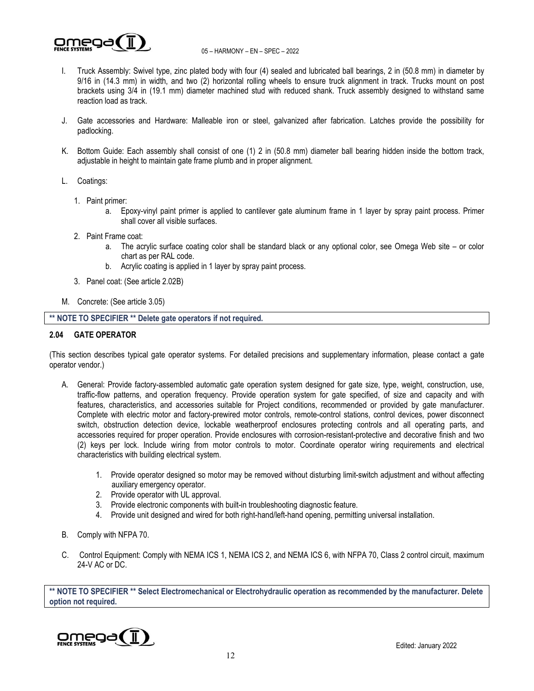

- I. Truck Assembly: Swivel type, zinc plated body with four (4) sealed and lubricated ball bearings, 2 in (50.8 mm) in diameter by 9/16 in (14.3 mm) in width, and two (2) horizontal rolling wheels to ensure truck alignment in track. Trucks mount on post brackets using 3/4 in (19.1 mm) diameter machined stud with reduced shank. Truck assembly designed to withstand same reaction load as track.
- J. Gate accessories and Hardware: Malleable iron or steel, galvanized after fabrication. Latches provide the possibility for padlocking.
- K. Bottom Guide: Each assembly shall consist of one (1) 2 in (50.8 mm) diameter ball bearing hidden inside the bottom track, adjustable in height to maintain gate frame plumb and in proper alignment.
- L. Coatings:
	- 1. Paint primer:
		- a. Epoxy-vinyl paint primer is applied to cantilever gate aluminum frame in 1 layer by spray paint process. Primer shall cover all visible surfaces.
	- 2. Paint Frame coat:
		- a. The acrylic surface coating color shall be standard black or any optional color, see Omega Web site or color chart as per RAL code.
		- b. Acrylic coating is applied in 1 layer by spray paint process.
	- 3. Panel coat: (See article 2.02B)
- M. Concrete: (See article 3.05)

**\*\* NOTE TO SPECIFIER \*\* Delete gate operators if not required.**

#### **2.04 GATE OPERATOR**

(This section describes typical gate operator systems. For detailed precisions and supplementary information, please contact a gate operator vendor.)

- A. General: Provide factory-assembled automatic gate operation system designed for gate size, type, weight, construction, use, traffic-flow patterns, and operation frequency. Provide operation system for gate specified, of size and capacity and with features, characteristics, and accessories suitable for Project conditions, recommended or provided by gate manufacturer. Complete with electric motor and factory-prewired motor controls, remote-control stations, control devices, power disconnect switch, obstruction detection device, lockable weatherproof enclosures protecting controls and all operating parts, and accessories required for proper operation. Provide enclosures with corrosion-resistant-protective and decorative finish and two (2) keys per lock. Include wiring from motor controls to motor. Coordinate operator wiring requirements and electrical characteristics with building electrical system.
	- 1. Provide operator designed so motor may be removed without disturbing limit-switch adjustment and without affecting auxiliary emergency operator.
	- 2. Provide operator with UL approval.
	- 3. Provide electronic components with built-in troubleshooting diagnostic feature.
	- 4. Provide unit designed and wired for both right-hand/left-hand opening, permitting universal installation.
- B. Comply with NFPA 70.
- C. Control Equipment: Comply with NEMA ICS 1, NEMA ICS 2, and NEMA ICS 6, with NFPA 70, Class 2 control circuit, maximum 24-V AC or DC.

**\*\* NOTE TO SPECIFIER \*\* Select Electromechanical or Electrohydraulic operation as recommended by the manufacturer. Delete option not required.**

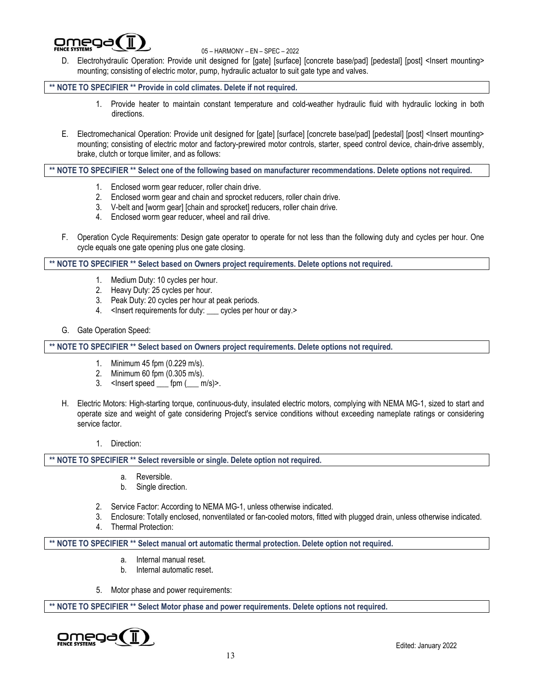

D. Electrohydraulic Operation: Provide unit designed for [gate] [surface] [concrete base/pad] [pedestal] [post] <Insert mounting> mounting; consisting of electric motor, pump, hydraulic actuator to suit gate type and valves.

**\*\* NOTE TO SPECIFIER \*\* Provide in cold climates. Delete if not required.**

- 1. Provide heater to maintain constant temperature and cold-weather hydraulic fluid with hydraulic locking in both directions.
- E. Electromechanical Operation: Provide unit designed for [gate] [surface] [concrete base/pad] [pedestal] [post] <Insert mounting> mounting; consisting of electric motor and factory-prewired motor controls, starter, speed control device, chain-drive assembly, brake, clutch or torque limiter, and as follows:

**\*\* NOTE TO SPECIFIER \*\* Select one of the following based on manufacturer recommendations. Delete options not required.**

- 1. Enclosed worm gear reducer, roller chain drive.
- 2. Enclosed worm gear and chain and sprocket reducers, roller chain drive.
- 3. V-belt and [worm gear] [chain and sprocket] reducers, roller chain drive.
- 4. Enclosed worm gear reducer, wheel and rail drive.
- F. Operation Cycle Requirements: Design gate operator to operate for not less than the following duty and cycles per hour. One cycle equals one gate opening plus one gate closing.

**\*\* NOTE TO SPECIFIER \*\* Select based on Owners project requirements. Delete options not required.**

- 1. Medium Duty: 10 cycles per hour.
- 2. Heavy Duty: 25 cycles per hour.
- 3. Peak Duty: 20 cycles per hour at peak periods.
- 4. <Insert requirements for duty: cycles per hour or day.>
- G. Gate Operation Speed:

**\*\* NOTE TO SPECIFIER \*\* Select based on Owners project requirements. Delete options not required.**

- 1. Minimum 45 fpm (0.229 m/s).
- 2. Minimum 60 fpm (0.305 m/s).
- 3.  $\leq$  lnsert speed  $\leq$  fpm  $(\leq$  m/s)>.
- H. Electric Motors: High-starting torque, continuous-duty, insulated electric motors, complying with NEMA MG-1, sized to start and operate size and weight of gate considering Project's service conditions without exceeding nameplate ratings or considering service factor.
	- 1. Direction:

**\*\* NOTE TO SPECIFIER \*\* Select reversible or single. Delete option not required.**

- a. Reversible.
- b. Single direction.
- 2. Service Factor: According to NEMA MG-1, unless otherwise indicated.
- 3. Enclosure: Totally enclosed, nonventilated or fan-cooled motors, fitted with plugged drain, unless otherwise indicated.
- 4. Thermal Protection:

**\*\* NOTE TO SPECIFIER \*\* Select manual ort automatic thermal protection. Delete option not required.**

- a. Internal manual reset.
- b. Internal automatic reset.
- 5. Motor phase and power requirements:

**\*\* NOTE TO SPECIFIER \*\* Select Motor phase and power requirements. Delete options not required.**

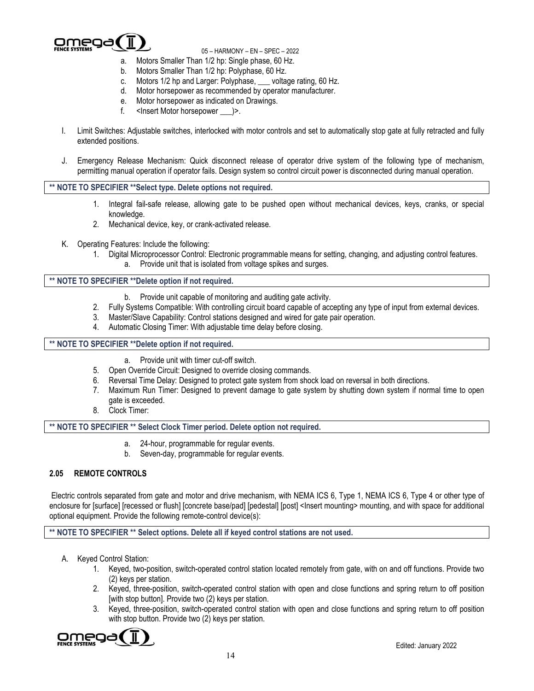

- a. Motors Smaller Than 1/2 hp: Single phase, 60 Hz.
- b. Motors Smaller Than 1/2 hp: Polyphase, 60 Hz.
- c. Motors 1/2 hp and Larger: Polyphase, \_\_\_ voltage rating, 60 Hz.
- d. Motor horsepower as recommended by operator manufacturer.
- e. Motor horsepower as indicated on Drawings.
- f. <Insert Motor horsepower  $\rightarrow$ .
- I. Limit Switches: Adjustable switches, interlocked with motor controls and set to automatically stop gate at fully retracted and fully extended positions.
- J. Emergency Release Mechanism: Quick disconnect release of operator drive system of the following type of mechanism, permitting manual operation if operator fails. Design system so control circuit power is disconnected during manual operation.

**\*\* NOTE TO SPECIFIER \*\*Select type. Delete options not required.**

- 1. Integral fail-safe release, allowing gate to be pushed open without mechanical devices, keys, cranks, or special knowledge.
- 2. Mechanical device, key, or crank-activated release.
- K. Operating Features: Include the following:
	- 1. Digital Microprocessor Control: Electronic programmable means for setting, changing, and adjusting control features.
		- a. Provide unit that is isolated from voltage spikes and surges.

**\*\* NOTE TO SPECIFIER \*\*Delete option if not required.**

- b. Provide unit capable of monitoring and auditing gate activity.
- 2. Fully Systems Compatible: With controlling circuit board capable of accepting any type of input from external devices.
- 3. Master/Slave Capability: Control stations designed and wired for gate pair operation.
- 4. Automatic Closing Timer: With adjustable time delay before closing.

**\*\* NOTE TO SPECIFIER \*\*Delete option if not required.**

- a. Provide unit with timer cut-off switch.
- 5. Open Override Circuit: Designed to override closing commands.
- 6. Reversal Time Delay: Designed to protect gate system from shock load on reversal in both directions.
- 7. Maximum Run Timer: Designed to prevent damage to gate system by shutting down system if normal time to open gate is exceeded.
- 8. Clock Timer:

**\*\* NOTE TO SPECIFIER \*\* Select Clock Timer period. Delete option not required.**

- a. 24-hour, programmable for regular events.
- b. Seven-day, programmable for regular events.

## **2.05 REMOTE CONTROLS**

Electric controls separated from gate and motor and drive mechanism, with NEMA ICS 6, Type 1, NEMA ICS 6, Type 4 or other type of enclosure for [surface] [recessed or flush] [concrete base/pad] [pedestal] [post] <lnsert mounting> mounting, and with space for additional optional equipment. Provide the following remote-control device(s):

**\*\* NOTE TO SPECIFIER \*\* Select options. Delete all if keyed control stations are not used.**

- A. Keyed Control Station:
	- 1. Keyed, two-position, switch-operated control station located remotely from gate, with on and off functions. Provide two (2) keys per station.
	- 2. Keyed, three-position, switch-operated control station with open and close functions and spring return to off position [with stop button]. Provide two (2) keys per station.
	- 3. Keyed, three-position, switch-operated control station with open and close functions and spring return to off position with stop button. Provide two (2) keys per station.

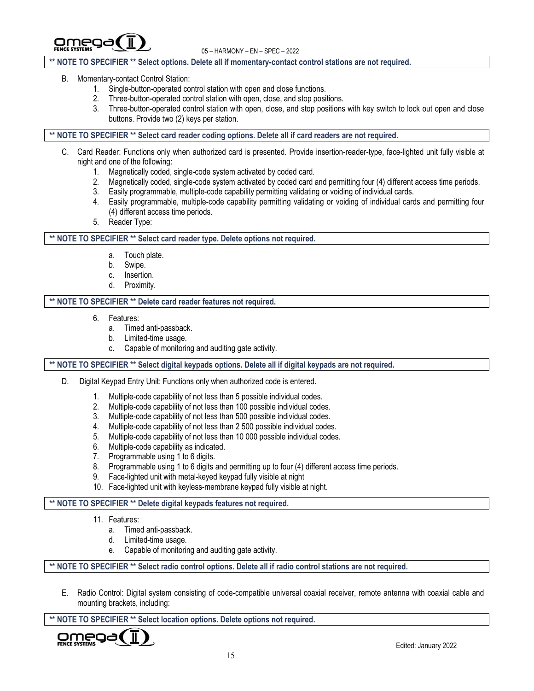omeg

## **\*\* NOTE TO SPECIFIER \*\* Select options. Delete all if momentary-contact control stations are not required.**

#### B. Momentary-contact Control Station:

- 1. Single-button-operated control station with open and close functions.
- 2. Three-button-operated control station with open, close, and stop positions.
- 3. Three-button-operated control station with open, close, and stop positions with key switch to lock out open and close buttons. Provide two (2) keys per station.

## **\*\* NOTE TO SPECIFIER \*\* Select card reader coding options. Delete all if card readers are not required.**

- C. Card Reader: Functions only when authorized card is presented. Provide insertion-reader-type, face-lighted unit fully visible at night and one of the following:
	- 1. Magnetically coded, single-code system activated by coded card.
	- 2. Magnetically coded, single-code system activated by coded card and permitting four (4) different access time periods.
	- 3. Easily programmable, multiple-code capability permitting validating or voiding of individual cards.
	- 4. Easily programmable, multiple-code capability permitting validating or voiding of individual cards and permitting four (4) different access time periods.
	- 5. Reader Type:

## **\*\* NOTE TO SPECIFIER \*\* Select card reader type. Delete options not required.**

- a. Touch plate.
- b. Swipe.
- c. Insertion.
- d. Proximity.

#### **\*\* NOTE TO SPECIFIER \*\* Delete card reader features not required.**

- 6. Features:
	- a. Timed anti-passback.
	- b. Limited-time usage.
	- c. Capable of monitoring and auditing gate activity.

## **\*\* NOTE TO SPECIFIER \*\* Select digital keypads options. Delete all if digital keypads are not required.**

- D. Digital Keypad Entry Unit: Functions only when authorized code is entered.
	- 1. Multiple-code capability of not less than 5 possible individual codes.
	- 2. Multiple-code capability of not less than 100 possible individual codes.
	- 3. Multiple-code capability of not less than 500 possible individual codes.
	- 4. Multiple-code capability of not less than 2 500 possible individual codes.
	- 5. Multiple-code capability of not less than 10 000 possible individual codes.
	- 6. Multiple-code capability as indicated.
	- 7. Programmable using 1 to 6 digits.
	- 8. Programmable using 1 to 6 digits and permitting up to four (4) different access time periods.
	- 9. Face-lighted unit with metal-keyed keypad fully visible at night
	- 10. Face-lighted unit with keyless-membrane keypad fully visible at night.

## **\*\* NOTE TO SPECIFIER \*\* Delete digital keypads features not required.**

- 11. Features:
	- a. Timed anti-passback.
	- d. Limited-time usage.
	- e. Capable of monitoring and auditing gate activity.

**\*\* NOTE TO SPECIFIER \*\* Select radio control options. Delete all if radio control stations are not required.**

E. Radio Control: Digital system consisting of code-compatible universal coaxial receiver, remote antenna with coaxial cable and mounting brackets, including:

**\*\* NOTE TO SPECIFIER \*\* Select location options. Delete options not required.**

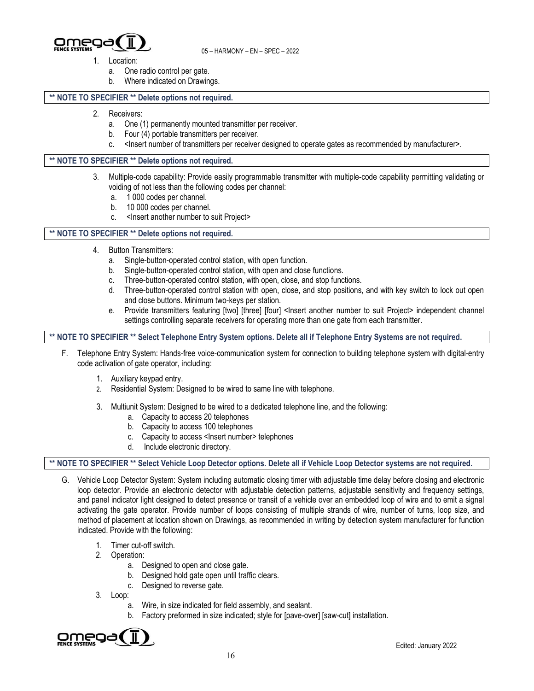

- 1. Location:
	- a. One radio control per gate.
	- b. Where indicated on Drawings.

## **\*\* NOTE TO SPECIFIER \*\* Delete options not required.**

- 2. Receivers:
	- a. One (1) permanently mounted transmitter per receiver.
	- b. Four (4) portable transmitters per receiver.
	- c. <Insert number of transmitters per receiver designed to operate gates as recommended by manufacturer>.

## **\*\* NOTE TO SPECIFIER \*\* Delete options not required.**

- 3. Multiple-code capability: Provide easily programmable transmitter with multiple-code capability permitting validating or voiding of not less than the following codes per channel:
	- a. 1 000 codes per channel.
	- b. 10 000 codes per channel.
	- c. <Insert another number to suit Project>

#### **\*\* NOTE TO SPECIFIER \*\* Delete options not required.**

- 4. Button Transmitters:
	- a. Single-button-operated control station, with open function.
	- b. Single-button-operated control station, with open and close functions.
	- c. Three-button-operated control station, with open, close, and stop functions.
	- d. Three-button-operated control station with open, close, and stop positions, and with key switch to lock out open and close buttons. Minimum two-keys per station.
	- e. Provide transmitters featuring [two] [three] [four] <Insert another number to suit Project> independent channel settings controlling separate receivers for operating more than one gate from each transmitter.

**\*\* NOTE TO SPECIFIER \*\* Select Telephone Entry System options. Delete all if Telephone Entry Systems are not required.**

- F. Telephone Entry System: Hands-free voice-communication system for connection to building telephone system with digital-entry code activation of gate operator, including:
	- 1. Auxiliary keypad entry.
	- 2. Residential System: Designed to be wired to same line with telephone.
	- 3. Multiunit System: Designed to be wired to a dedicated telephone line, and the following:
		- a. Capacity to access 20 telephones
		- b. Capacity to access 100 telephones
		- c. Capacity to access <Insert number> telephones
		- d. Include electronic directory.

## **\*\* NOTE TO SPECIFIER \*\* Select Vehicle Loop Detector options. Delete all if Vehicle Loop Detector systems are not required.**

- G. Vehicle Loop Detector System: System including automatic closing timer with adjustable time delay before closing and electronic loop detector. Provide an electronic detector with adjustable detection patterns, adjustable sensitivity and frequency settings, and panel indicator light designed to detect presence or transit of a vehicle over an embedded loop of wire and to emit a signal activating the gate operator. Provide number of loops consisting of multiple strands of wire, number of turns, loop size, and method of placement at location shown on Drawings, as recommended in writing by detection system manufacturer for function indicated. Provide with the following:
	- 1. Timer cut-off switch.
	- 2. Operation:
		- a. Designed to open and close gate.
		- b. Designed hold gate open until traffic clears.
		- c. Designed to reverse gate.
	- 3. Loop:
		- a. Wire, in size indicated for field assembly, and sealant.
		- b. Factory preformed in size indicated; style for [pave-over] [saw-cut] installation.

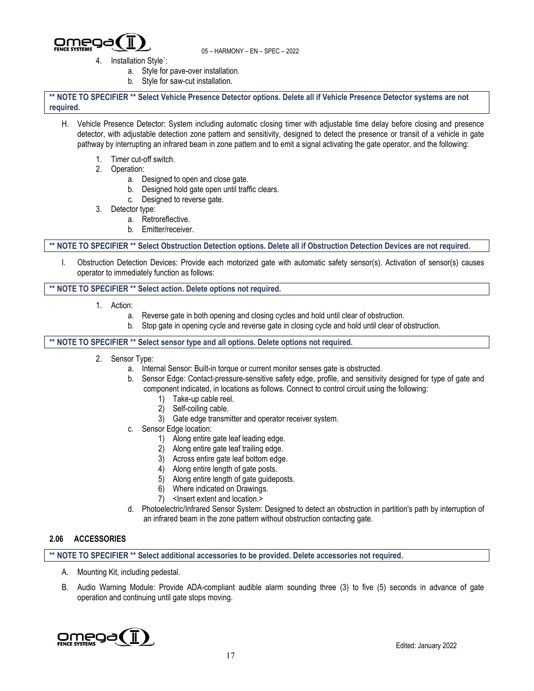

- 4. Installation Style`:
	- a. Style for pave-over installation.
	- b. Style for saw-cut installation.

**\*\* NOTE TO SPECIFIER \*\* Select Vehicle Presence Detector options. Delete all if Vehicle Presence Detector systems are not required.**

- H. Vehicle Presence Detector: System including automatic closing timer with adjustable time delay before closing and presence detector, with adjustable detection zone pattern and sensitivity, designed to detect the presence or transit of a vehicle in gate pathway by interrupting an infrared beam in zone pattern and to emit a signal activating the gate operator, and the following:
	- 1. Timer cut-off switch.
	- 2. Operation:
		- a. Designed to open and close gate.
		- b. Designed hold gate open until traffic clears.
		- c. Designed to reverse gate.
	- 3. Detector type:
		- a. Retroreflective.
		- b. Emitter/receiver.

**\*\* NOTE TO SPECIFIER \*\* Select Obstruction Detection options. Delete all if Obstruction Detection Devices are not required.**

I. Obstruction Detection Devices: Provide each motorized gate with automatic safety sensor(s). Activation of sensor(s) causes operator to immediately function as follows:

#### **\*\* NOTE TO SPECIFIER \*\* Select action. Delete options not required.**

- 1. Action:
	- a. Reverse gate in both opening and closing cycles and hold until clear of obstruction.
	- b. Stop gate in opening cycle and reverse gate in closing cycle and hold until clear of obstruction.

#### **\*\* NOTE TO SPECIFIER \*\* Select sensor type and all options. Delete options not required.**

- 2. Sensor Type:
	- a. Internal Sensor: Built-in torque or current monitor senses gate is obstructed.
	- b. Sensor Edge: Contact-pressure-sensitive safety edge, profile, and sensitivity designed for type of gate and component indicated, in locations as follows. Connect to control circuit using the following:
		- 1) Take-up cable reel.
		- 2) Self-coiling cable.
		- 3) Gate edge transmitter and operator receiver system.
	- c. Sensor Edge location:
		- 1) Along entire gate leaf leading edge.
		- 2) Along entire gate leaf trailing edge.
		- 3) Across entire gate leaf bottom edge.
		- 4) Along entire length of gate posts.
		- 5) Along entire length of gate guideposts.
		- 6) Where indicated on Drawings.
		- 7) <Insert extent and location.>
	- d. Photoelectric/Infrared Sensor System: Designed to detect an obstruction in partition's path by interruption of an infrared beam in the zone pattern without obstruction contacting gate.

## **2.06 ACCESSORIES**

**\*\* NOTE TO SPECIFIER \*\* Select additional accessories to be provided. Delete accessories not required.**

- A. Mounting Kit, including pedestal.
- B. Audio Warning Module: Provide ADA-compliant audible alarm sounding three (3) to five (5) seconds in advance of gate operation and continuing until gate stops moving.

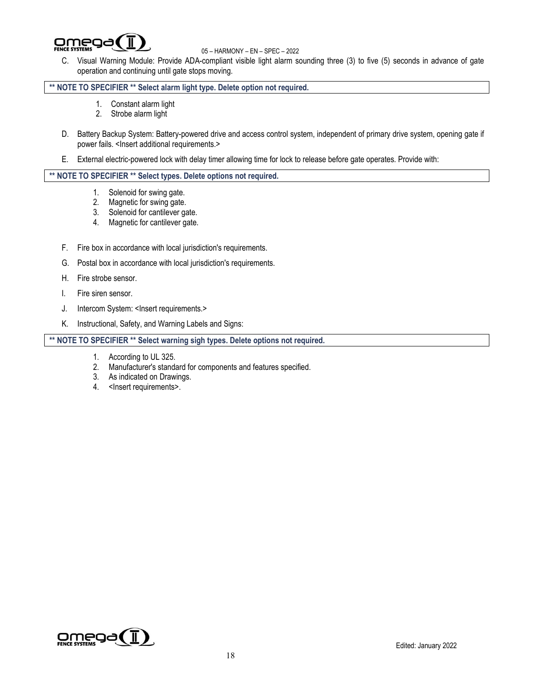

C. Visual Warning Module: Provide ADA-compliant visible light alarm sounding three (3) to five (5) seconds in advance of gate operation and continuing until gate stops moving.

## **\*\* NOTE TO SPECIFIER \*\* Select alarm light type. Delete option not required.**

- 1. Constant alarm light
- 2. Strobe alarm light
- D. Battery Backup System: Battery-powered drive and access control system, independent of primary drive system, opening gate if power fails. <Insert additional requirements.>
- E. External electric-powered lock with delay timer allowing time for lock to release before gate operates. Provide with:

#### **\*\* NOTE TO SPECIFIER \*\* Select types. Delete options not required.**

- 1. Solenoid for swing gate.
- 2. Magnetic for swing gate.
- 3. Solenoid for cantilever gate.
- 4. Magnetic for cantilever gate.
- F. Fire box in accordance with local jurisdiction's requirements.
- G. Postal box in accordance with local jurisdiction's requirements.
- H. Fire strobe sensor.
- I. Fire siren sensor.
- J. Intercom System: <Insert requirements.>
- K. Instructional, Safety, and Warning Labels and Signs:

## **\*\* NOTE TO SPECIFIER \*\* Select warning sigh types. Delete options not required.**

- 1. According to UL 325.
- 2. Manufacturer's standard for components and features specified.
- 3. As indicated on Drawings.
- 4. < Insert requirements>.

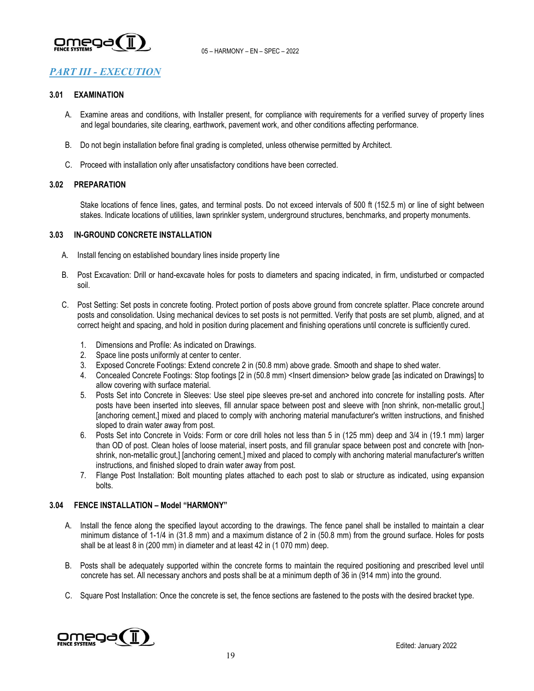

# *PART III - EXECUTION*

#### **3.01 EXAMINATION**

- A. Examine areas and conditions, with Installer present, for compliance with requirements for a verified survey of property lines and legal boundaries, site clearing, earthwork, pavement work, and other conditions affecting performance.
- B. Do not begin installation before final grading is completed, unless otherwise permitted by Architect.
- C. Proceed with installation only after unsatisfactory conditions have been corrected.

## **3.02 PREPARATION**

Stake locations of fence lines, gates, and terminal posts. Do not exceed intervals of 500 ft (152.5 m) or line of sight between stakes. Indicate locations of utilities, lawn sprinkler system, underground structures, benchmarks, and property monuments.

#### **3.03 IN-GROUND CONCRETE INSTALLATION**

- A. Install fencing on established boundary lines inside property line
- B. Post Excavation: Drill or hand-excavate holes for posts to diameters and spacing indicated, in firm, undisturbed or compacted soil.
- C. Post Setting: Set posts in concrete footing. Protect portion of posts above ground from concrete splatter. Place concrete around posts and consolidation. Using mechanical devices to set posts is not permitted. Verify that posts are set plumb, aligned, and at correct height and spacing, and hold in position during placement and finishing operations until concrete is sufficiently cured.
	- 1. Dimensions and Profile: As indicated on Drawings.
	- 2. Space line posts uniformly at center to center.
	- 3. Exposed Concrete Footings: Extend concrete 2 in (50.8 mm) above grade. Smooth and shape to shed water.
	- 4. Concealed Concrete Footings: Stop footings [2 in (50.8 mm) <Insert dimension> below grade [as indicated on Drawings] to allow covering with surface material.
	- 5. Posts Set into Concrete in Sleeves: Use steel pipe sleeves pre-set and anchored into concrete for installing posts. After posts have been inserted into sleeves, fill annular space between post and sleeve with [non shrink, non-metallic grout,] [anchoring cement,] mixed and placed to comply with anchoring material manufacturer's written instructions, and finished sloped to drain water away from post.
	- 6. Posts Set into Concrete in Voids: Form or core drill holes not less than 5 in (125 mm) deep and 3/4 in (19.1 mm) larger than OD of post. Clean holes of loose material, insert posts, and fill granular space between post and concrete with [nonshrink, non-metallic grout,] [anchoring cement,] mixed and placed to comply with anchoring material manufacturer's written instructions, and finished sloped to drain water away from post.
	- 7. Flange Post Installation: Bolt mounting plates attached to each post to slab or structure as indicated, using expansion bolts.

## **3.04 FENCE INSTALLATION – Model "HARMONY"**

- A. Install the fence along the specified layout according to the drawings. The fence panel shall be installed to maintain a clear minimum distance of 1-1/4 in (31.8 mm) and a maximum distance of 2 in (50.8 mm) from the ground surface. Holes for posts shall be at least 8 in (200 mm) in diameter and at least 42 in (1 070 mm) deep.
- B. Posts shall be adequately supported within the concrete forms to maintain the required positioning and prescribed level until concrete has set. All necessary anchors and posts shall be at a minimum depth of 36 in (914 mm) into the ground.
- C. Square Post Installation: Once the concrete is set, the fence sections are fastened to the posts with the desired bracket type.

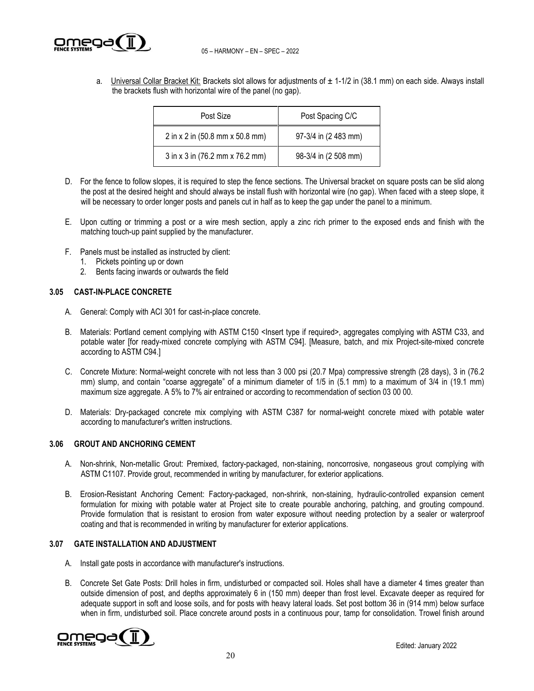

a. Universal Collar Bracket Kit: Brackets slot allows for adjustments of  $\pm$  1-1/2 in (38.1 mm) on each side. Always install the brackets flush with horizontal wire of the panel (no gap).

| Post Size                       | Post Spacing C/C     |
|---------------------------------|----------------------|
| 2 in x 2 in (50.8 mm x 50.8 mm) | 97-3/4 in (2 483 mm) |
| 3 in x 3 in (76.2 mm x 76.2 mm) | 98-3/4 in (2 508 mm) |

- D. For the fence to follow slopes, it is required to step the fence sections. The Universal bracket on square posts can be slid along the post at the desired height and should always be install flush with horizontal wire (no gap). When faced with a steep slope, it will be necessary to order longer posts and panels cut in half as to keep the gap under the panel to a minimum.
- E. Upon cutting or trimming a post or a wire mesh section, apply a zinc rich primer to the exposed ends and finish with the matching touch-up paint supplied by the manufacturer.
- F. Panels must be installed as instructed by client:
	- 1. Pickets pointing up or down
	- 2. Bents facing inwards or outwards the field

## **3.05 CAST-IN-PLACE CONCRETE**

- A. General: Comply with ACI 301 for cast-in-place concrete.
- B. Materials: Portland cement complying with ASTM C150 <Insert type if required>, aggregates complying with ASTM C33, and potable water [for ready-mixed concrete complying with ASTM C94]. [Measure, batch, and mix Project-site-mixed concrete according to ASTM C94.]
- C. Concrete Mixture: Normal-weight concrete with not less than 3 000 psi (20.7 Mpa) compressive strength (28 days), 3 in (76.2 mm) slump, and contain "coarse aggregate" of a minimum diameter of 1/5 in (5.1 mm) to a maximum of 3/4 in (19.1 mm) maximum size aggregate. A 5% to 7% air entrained or according to recommendation of section 03 00 00.
- D. Materials: Dry-packaged concrete mix complying with ASTM C387 for normal-weight concrete mixed with potable water according to manufacturer's written instructions.

## **3.06 GROUT AND ANCHORING CEMENT**

- A. Non-shrink, Non-metallic Grout: Premixed, factory-packaged, non-staining, noncorrosive, nongaseous grout complying with ASTM C1107. Provide grout, recommended in writing by manufacturer, for exterior applications.
- B. Erosion-Resistant Anchoring Cement: Factory-packaged, non-shrink, non-staining, hydraulic-controlled expansion cement formulation for mixing with potable water at Project site to create pourable anchoring, patching, and grouting compound. Provide formulation that is resistant to erosion from water exposure without needing protection by a sealer or waterproof coating and that is recommended in writing by manufacturer for exterior applications.

## **3.07 GATE INSTALLATION AND ADJUSTMENT**

- A. Install gate posts in accordance with manufacturer's instructions.
- B. Concrete Set Gate Posts: Drill holes in firm, undisturbed or compacted soil. Holes shall have a diameter 4 times greater than outside dimension of post, and depths approximately 6 in (150 mm) deeper than frost level. Excavate deeper as required for adequate support in soft and loose soils, and for posts with heavy lateral loads. Set post bottom 36 in (914 mm) below surface when in firm, undisturbed soil. Place concrete around posts in a continuous pour, tamp for consolidation. Trowel finish around

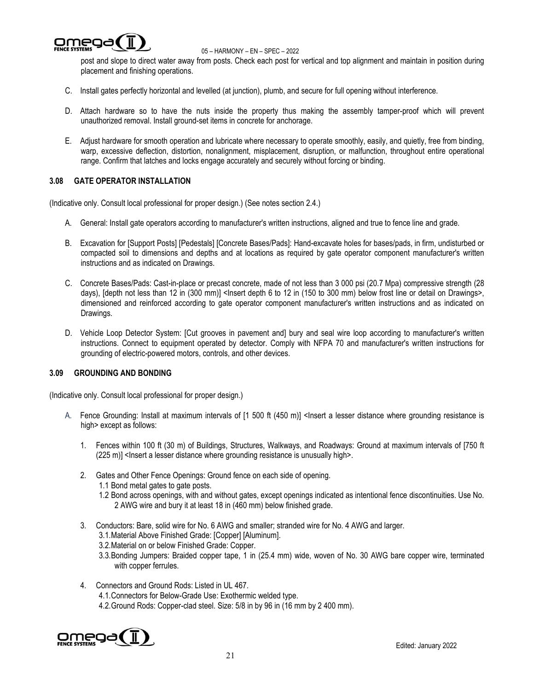

post and slope to direct water away from posts. Check each post for vertical and top alignment and maintain in position during placement and finishing operations.

- C. Install gates perfectly horizontal and levelled (at junction), plumb, and secure for full opening without interference.
- D. Attach hardware so to have the nuts inside the property thus making the assembly tamper-proof which will prevent unauthorized removal. Install ground-set items in concrete for anchorage.
- E. Adjust hardware for smooth operation and lubricate where necessary to operate smoothly, easily, and quietly, free from binding, warp, excessive deflection, distortion, nonalignment, misplacement, disruption, or malfunction, throughout entire operational range. Confirm that latches and locks engage accurately and securely without forcing or binding.

## **3.08 GATE OPERATOR INSTALLATION**

(Indicative only. Consult local professional for proper design.) (See notes section 2.4.)

- A. General: Install gate operators according to manufacturer's written instructions, aligned and true to fence line and grade.
- B. Excavation for [Support Posts] [Pedestals] [Concrete Bases/Pads]: Hand-excavate holes for bases/pads, in firm, undisturbed or compacted soil to dimensions and depths and at locations as required by gate operator component manufacturer's written instructions and as indicated on Drawings.
- C. Concrete Bases/Pads: Cast-in-place or precast concrete, made of not less than 3 000 psi (20.7 Mpa) compressive strength (28 days), [depth not less than 12 in (300 mm)] <lnsert depth 6 to 12 in (150 to 300 mm) below frost line or detail on Drawings>, dimensioned and reinforced according to gate operator component manufacturer's written instructions and as indicated on Drawings.
- D. Vehicle Loop Detector System: [Cut grooves in pavement and] bury and seal wire loop according to manufacturer's written instructions. Connect to equipment operated by detector. Comply with NFPA 70 and manufacturer's written instructions for grounding of electric-powered motors, controls, and other devices.

## **3.09 GROUNDING AND BONDING**

(Indicative only. Consult local professional for proper design.)

- A. Fence Grounding: Install at maximum intervals of [1 500 ft (450 m)] <lnsert a lesser distance where grounding resistance is high> except as follows:
	- 1. Fences within 100 ft (30 m) of Buildings, Structures, Walkways, and Roadways: Ground at maximum intervals of [750 ft (225 m)] <lnsert a lesser distance where grounding resistance is unusually high>.
	- 2. Gates and Other Fence Openings: Ground fence on each side of opening. 1.1 Bond metal gates to gate posts.
		- 1.2 Bond across openings, with and without gates, except openings indicated as intentional fence discontinuities. Use No. 2 AWG wire and bury it at least 18 in (460 mm) below finished grade.
	- 3. Conductors: Bare, solid wire for No. 6 AWG and smaller; stranded wire for No. 4 AWG and larger.
		- 3.1.Material Above Finished Grade: [Copper] [Aluminum].
		- 3.2.Material on or below Finished Grade: Copper.
		- 3.3.Bonding Jumpers: Braided copper tape, 1 in (25.4 mm) wide, woven of No. 30 AWG bare copper wire, terminated with copper ferrules.
	- 4. Connectors and Ground Rods: Listed in UL 467.
		- 4.1.Connectors for Below-Grade Use: Exothermic welded type.
		- 4.2.Ground Rods: Copper-clad steel. Size: 5/8 in by 96 in (16 mm by 2 400 mm).

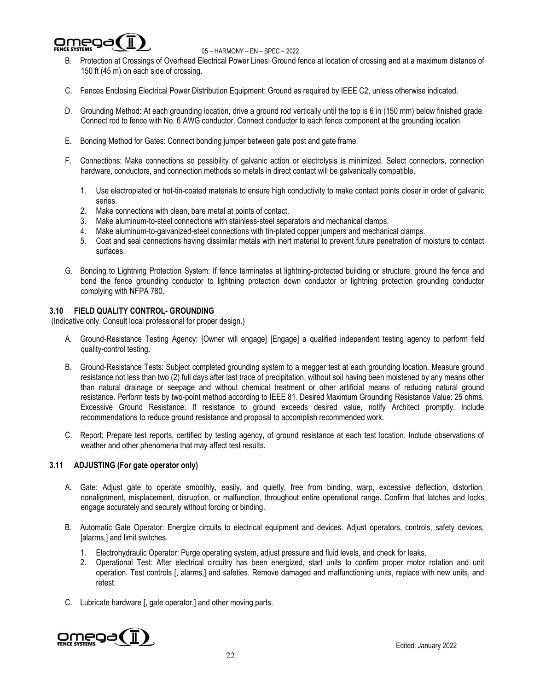

- B. Protection at Crossings of Overhead Electrical Power Lines: Ground fence at location of crossing and at a maximum distance of 150 ft (45 m) on each side of crossing.
- C. Fences Enclosing Electrical Power Distribution Equipment: Ground as required by IEEE C2, unless otherwise indicated.
- D. Grounding Method: At each grounding location, drive a ground rod vertically until the top is 6 in (150 mm) below finished grade. Connect rod to fence with No. 6 AWG conductor. Connect conductor to each fence component at the grounding location.
- E. Bonding Method for Gates: Connect bonding jumper between gate post and gate frame.
- F. Connections: Make connections so possibility of galvanic action or electrolysis is minimized. Select connectors, connection hardware, conductors, and connection methods so metals in direct contact will be galvanically compatible.
	- 1. Use electroplated or hot-tin-coated materials to ensure high conductivity to make contact points closer in order of galvanic series.
	- 2. Make connections with clean, bare metal at points of contact.
	- 3. Make aluminum-to-steel connections with stainless-steel separators and mechanical clamps.
	- 4. Make aluminum-to-galvanized-steel connections with tin-plated copper jumpers and mechanical clamps.
	- 5. Coat and seal connections having dissimilar metals with inert material to prevent future penetration of moisture to contact surfaces.
- G. Bonding to Lightning Protection System: If fence terminates at lightning-protected building or structure, ground the fence and bond the fence grounding conductor to lightning protection down conductor or lightning protection grounding conductor complying with NFPA 780.

## **3.10 FIELD QUALITY CONTROL- GROUNDING**

(Indicative only. Consult local professional for proper design.)

- A. Ground-Resistance Testing Agency: [Owner will engage] [Engage] a qualified independent testing agency to perform field quality-control testing.
- B. Ground-Resistance Tests: Subject completed grounding system to a megger test at each grounding location. Measure ground resistance not less than two (2) full days after last trace of precipitation, without soil having been moistened by any means other than natural drainage or seepage and without chemical treatment or other artificial means of reducing natural ground resistance. Perform tests by two-point method according to IEEE 81. Desired Maximum Grounding Resistance Value: 25 ohms. Excessive Ground Resistance: If resistance to ground exceeds desired value, notify Architect promptly. Include recommendations to reduce ground resistance and proposal to accomplish recommended work.
- C. Report: Prepare test reports, certified by testing agency, of ground resistance at each test location. Include observations of weather and other phenomena that may affect test results.

## **3.11 ADJUSTING (For gate operator only)**

- A. Gate: Adjust gate to operate smoothly, easily, and quietly, free from binding, warp, excessive deflection, distortion, nonalignment, misplacement, disruption, or malfunction, throughout entire operational range. Confirm that latches and locks engage accurately and securely without forcing or binding.
- B. Automatic Gate Operator: Energize circuits to electrical equipment and devices. Adjust operators, controls, safety devices, [alarms,] and limit switches.
	- 1. Electrohydraulic Operator: Purge operating system, adjust pressure and fluid levels, and check for leaks.
	- 2. Operational Test: After electrical circuitry has been energized, start units to confirm proper motor rotation and unit operation. Test controls [, alarms,] and safeties. Remove damaged and malfunctioning units, replace with new units, and retest.
- C. Lubricate hardware [, gate operator,] and other moving parts.